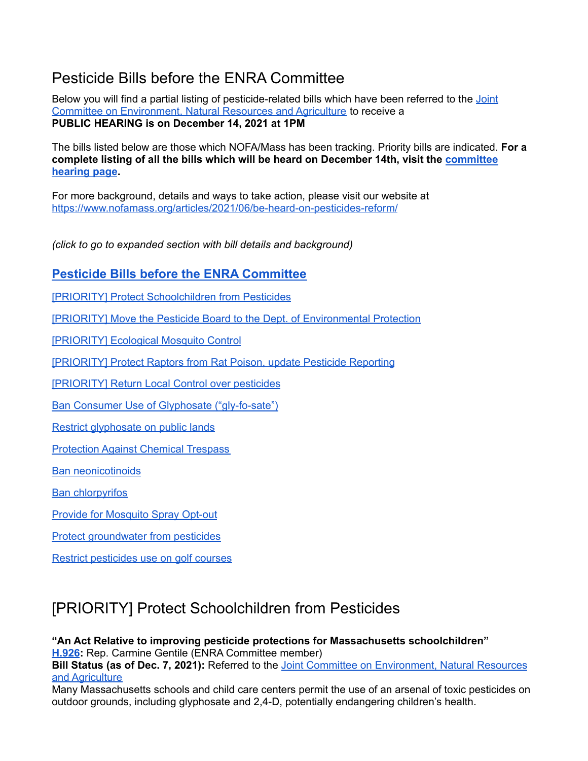## <span id="page-0-0"></span>Pesticide Bills before the ENRA Committee

Below you will find a partial listing of pesticide-related bills which have been referred to the [Joint](https://malegislature.gov/Committees/Detail/J21/192) Committee on [Environment,](https://malegislature.gov/Committees/Detail/J21/192) Natural Resources and Agriculture to receive a **PUBLIC HEARING is on December 14, 2021 at 1PM**

The bills listed below are those which NOFA/Mass has been tracking. Priority bills are indicated. **For a complete listing of all the bills which will be heard on December 14th, visit the [committee](https://malegislature.gov/Events/Hearings/Detail/4126) [hearing](https://malegislature.gov/Events/Hearings/Detail/4126) page.**

For more background, details and ways to take action, please visit our website at <https://www.nofamass.org/articles/2021/06/be-heard-on-pesticides-reform/>

*(click to go to expanded section with bill details and background)*

### **Pesticide Bills before the ENRA [Committee](#page-0-0)**

[PRIORITY] Protect [Schoolchildren](#page-0-1) from Pesticides

[PRIORITY] Move the Pesticide Board to the Dept. of [Environmental](#page-4-0) Protection

[\[PRIORITY\]](#page-4-1) Ecological Mosquito Control

[\[PRIORITY\]](#page-5-0) Protect Raptors from Rat Poison, update Pesticide Reporting

[\[PRIORITY\]](#page-7-0) Return Local Control over pesticides

Ban Consumer Use of Glyphosate [\("gly-fo-sate"\)](#page-9-0)

Restrict [glyphosate](#page-10-0) on public lands

[Protection](#page-11-0) Against Chemical Trespass

Ban [neonicotinoids](#page-12-0)

**Ban [chlorpyrifos](#page-13-0)** 

Provide for [Mosquito](#page-14-0) Spray Opt-out

Protect [groundwater](#page-14-1) from pesticides

Restrict [pesticides](#page-15-0) use on golf courses

# <span id="page-0-1"></span>[PRIORITY] Protect Schoolchildren from Pesticides

#### **"An Act Relative to improving pesticide protections for Massachusetts schoolchildren"**

**[H.926](https://malegislature.gov/Bills/192/H926):** Rep. Carmine Gentile (ENRA Committee member)

**Bill Status (as of Dec. 7, 2021):** Referred to the Joint Committee on [Environment,](https://malegislature.gov/Committees/Detail/J21/192) Natural Resources and [Agriculture](https://malegislature.gov/Committees/Detail/J21/192)

Many Massachusetts schools and child care centers permit the use of an arsenal of toxic pesticides on outdoor grounds, including glyphosate and 2,4-D, potentially endangering children's health.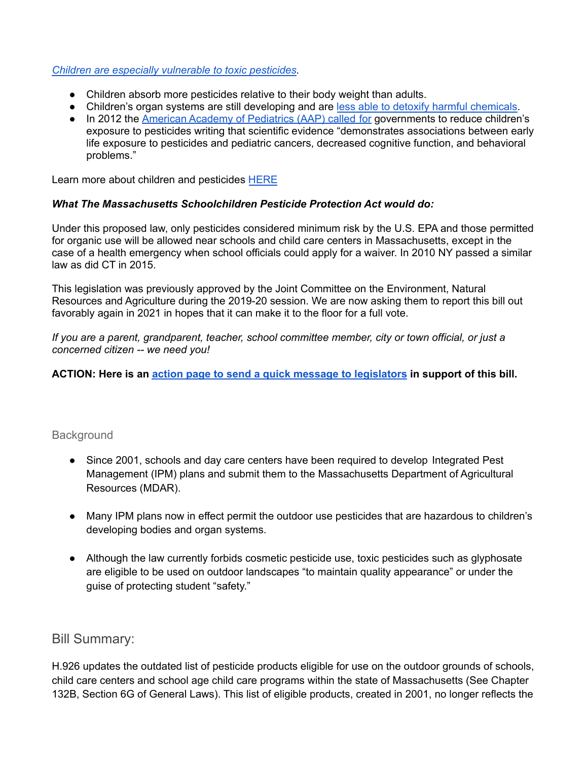#### *Children are especially [vulnerable](http://npic.orst.edu/health/child.html) to toxic pesticides.*

- Children absorb more pesticides relative to their body weight than adults.
- Children's organ systems are still developing and are less able to detoxify harmful [chemicals.](http://npic.orst.edu/health/child.html)
- In 2012 the American Academy of [Pediatrics](https://pediatrics.aappublications.org/content/130/6/e1757) (AAP) called for governments to reduce children's exposure to pesticides writing that scientific evidence "demonstrates associations between early life exposure to pesticides and pediatric cancers, decreased cognitive function, and behavioral problems."

Learn more about children and pesticides [HERE](https://www.beyondpesticides.org/assets/media/documents/Pesticide.children.dontmix.pdf)

#### *What The Massachusetts Schoolchildren Pesticide Protection Act would do:*

Under this proposed law, only pesticides considered minimum risk by the U.S. EPA and those permitted for organic use will be allowed near schools and child care centers in Massachusetts, except in the case of a health emergency when school officials could apply for a waiver. In 2010 NY passed a similar law as did CT in 2015.

This legislation was previously approved by the Joint Committee on the Environment, Natural Resources and Agriculture during the 2019-20 session. We are now asking them to report this bill out favorably again in 2021 in hopes that it can make it to the floor for a full vote.

*If you are a parent, grandparent, teacher, school committee member, city or town official, or just a concerned citizen -- we need you!*

**ACTION: Here is an action page to send a quick message to [legislators](https://actionnetwork.org/letters/ban-glyphosate-and-other-toxic-pesticides-from-playgrounds-and-schools/) in support of this bill.**

### **Background**

- Since 2001, schools and day care centers have been required to develop Integrated Pest Management (IPM) plans and submit them to the Massachusetts Department of Agricultural Resources (MDAR).
- Many IPM plans now in effect permit the outdoor use pesticides that are hazardous to children's developing bodies and organ systems.
- Although the law currently forbids cosmetic pesticide use, toxic pesticides such as glyphosate are eligible to be used on outdoor landscapes "to maintain quality appearance" or under the guise of protecting student "safety."

### Bill Summary:

H.926 updates the outdated list of pesticide products eligible for use on the outdoor grounds of schools, child care centers and school age child care programs within the state of Massachusetts (See Chapter 132B, Section 6G of General Laws). This list of eligible products, created in 2001, no longer reflects the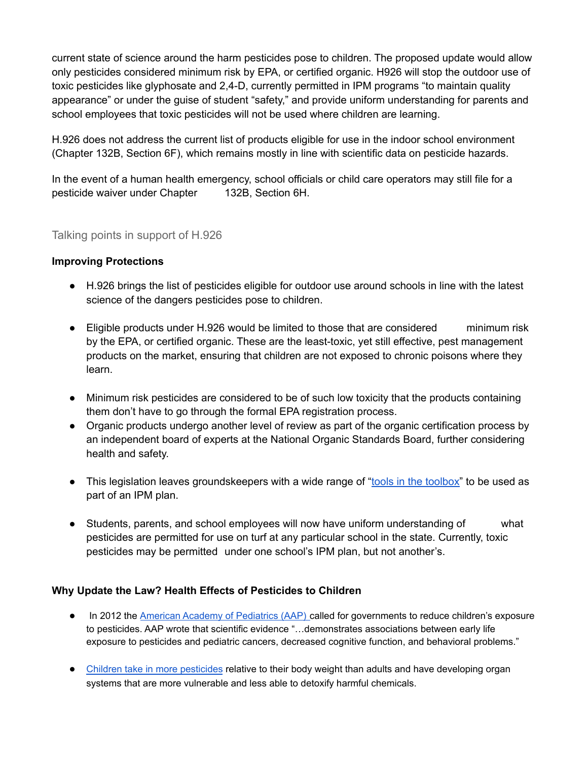current state of science around the harm pesticides pose to children. The proposed update would allow only pesticides considered minimum risk by EPA, or certified organic. H926 will stop the outdoor use of toxic pesticides like glyphosate and 2,4-D, currently permitted in IPM programs "to maintain quality appearance" or under the guise of student "safety," and provide uniform understanding for parents and school employees that toxic pesticides will not be used where children are learning.

H.926 does not address the current list of products eligible for use in the indoor school environment (Chapter 132B, Section 6F), which remains mostly in line with scientific data on pesticide hazards.

In the event of a human health emergency, school officials or child care operators may still file for a pesticide waiver under Chapter 132B, Section 6H.

### Talking points in support of H.926

#### **Improving Protections**

- H.926 brings the list of pesticides eligible for outdoor use around schools in line with the latest science of the dangers pesticides pose to children.
- Eligible products under H.926 would be limited to those that are considered minimum risk by the EPA, or certified organic. These are the least-toxic, yet still effective, pest management products on the market, ensuring that children are not exposed to chronic poisons where they learn.
- Minimum risk pesticides are considered to be of such low toxicity that the products containing them don't have to go through the formal EPA registration process.
- Organic products undergo another level of review as part of the organic certification process by an independent board of experts at the National Organic Standards Board, further considering health and safety.
- This legislation leaves groundskeepers with a wide range of "tools in the [toolbox"](https://www.beyondpesticides.org/programs/lawns-and-landscapes/tools-for-change/products-compatible-with-organic-landscape-management) to be used as part of an IPM plan.
- Students, parents, and school employees will now have uniform understanding of what pesticides are permitted for use on turf at any particular school in the state. Currently, toxic pesticides may be permitted under one school's IPM plan, but not another's.

### **Why Update the Law? Health Effects of Pesticides to Children**

- In 2012 the American Academy of [Pediatrics](http://pediatrics.aappublications.org/content/early/2012/11/21/peds.2012-2757) (AAP) called for governments to reduce children's exposure to pesticides. AAP wrote that scientific evidence "…demonstrates associations between early life exposure to pesticides and pediatric cancers, decreased cognitive function, and behavioral problems."
- Children take in more [pesticides](http://www.epa.gov/pesticides/food/pest.htm) relative to their body weight than adults and have developing organ systems that are more vulnerable and less able to detoxify harmful chemicals.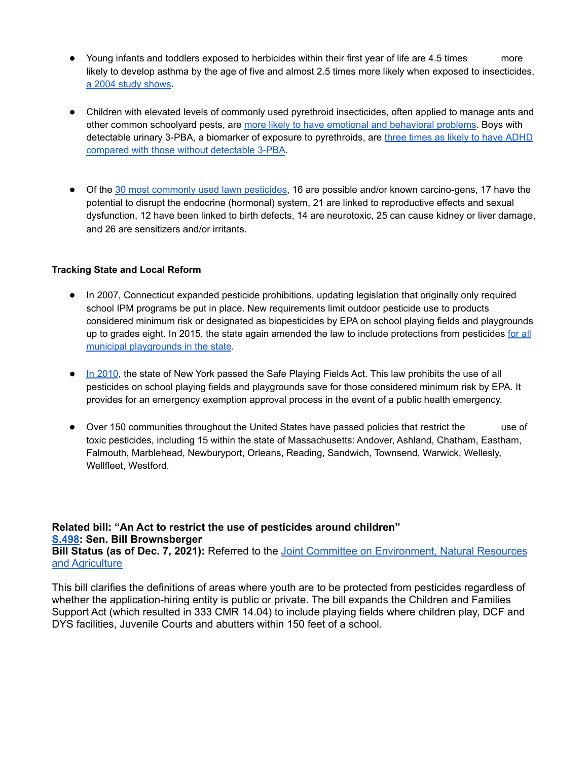- Young infants and toddlers exposed to herbicides within their first year of life are 4.5 times more likely to develop asthma by the age of five and almost 2.5 times more likely when exposed to insecticides, a 2004 study [shows](https://www.ncbi.nlm.nih.gov/pmc/articles/PMC1241973/).
- Children with elevated levels of commonly used pyrethroid insecticides, often applied to manage ants and other common schoolyard pests, are more likely to have emotional and [behavioral](https://ehp.niehs.nih.gov/doi/10.1289/ehp.1306667) problems. Boys with detectable urinary 3-PBA, a biomarker of exposure to pyrethroids, are three times as likely to have [ADHD](https://ehjournal.biomedcentral.com/articles/10.1186/s12940-015-0030-y) compared with those without [detectable](https://ehjournal.biomedcentral.com/articles/10.1186/s12940-015-0030-y) 3-PBA.
- Of the 30 most [commonly](http://www.beyondpesticides.org/assets/media/documents/lawn/factsheets/30health.pdf) used lawn pesticides, 16 are possible and/or known carcino-gens, 17 have the potential to disrupt the endocrine (hormonal) system, 21 are linked to reproductive effects and sexual dysfunction, 12 have been linked to birth defects, 14 are neurotoxic, 25 can cause kidney or liver damage, and 26 are sensitizers and/or irritants.

#### **Tracking State and Local Reform**

- In 2007, Connecticut expanded pesticide prohibitions, updating legislation that originally only required school IPM programs be put in place. New requirements limit outdoor pesticide use to products considered minimum risk or designated as biopesticides by EPA on school playing fields and playgrounds up to grades eight. In 2015, the state again amended the law to include protections from pesticides [for](https://urldefense.proofpoint.com/v2/url?u=https-3A__www.cga.ct.gov_2015_TOB_s_pdf_2015SB-2D01502-2DR00-2DSB.pdf&d=DwMFAg&c=lDF7oMaPKXpkYvev9V-fVahWL0QWnGCCAfCDz1Bns_w&r=JidjfI2AaMMIKGEiOaucBc3c66d3o-3K07niDKuNAYs&m=5kMpuY-Fd6KZz28eK3szl8bnSopQd4cYa-ou04OPh4I&s=-ElVSmBgVbxj_B5XEZShgd2tiB7moY1DfMVLSD4oI2Q&e=) all municipal [playgrounds](https://urldefense.proofpoint.com/v2/url?u=https-3A__www.cga.ct.gov_2015_TOB_s_pdf_2015SB-2D01502-2DR00-2DSB.pdf&d=DwMFAg&c=lDF7oMaPKXpkYvev9V-fVahWL0QWnGCCAfCDz1Bns_w&r=JidjfI2AaMMIKGEiOaucBc3c66d3o-3K07niDKuNAYs&m=5kMpuY-Fd6KZz28eK3szl8bnSopQd4cYa-ou04OPh4I&s=-ElVSmBgVbxj_B5XEZShgd2tiB7moY1DfMVLSD4oI2Q&e=) in the state.
- In [2010](https://www.nysenate.gov/legislation/bills/2009/s4983/amendment/c), the state of New York passed the Safe Playing Fields Act. This law prohibits the use of all pesticides on school playing fields and playgrounds save for those considered minimum risk by EPA. It provides for an emergency exemption approval process in the event of a public health emergency.
- Over 150 communities throughout the United States have passed policies that restrict the use of toxic pesticides, including 15 within the state of Massachusetts: Andover, Ashland, Chatham, Eastham, Falmouth, Marblehead, Newburyport, Orleans, Reading, Sandwich, Townsend, Warwick, Wellesly, Wellfleet, Westford.

#### **Related bill: "An Act to restrict the use of pesticides around children" [S.498:](https://malegislature.gov/Bills/192/SD647) Sen. Bill Brownsberger Bill Status (as of Dec. 7, 2021):** Referred to the Joint Committee on [Environment,](https://malegislature.gov/Committees/Detail/J21/192) Natural Resources and [Agriculture](https://malegislature.gov/Committees/Detail/J21/192)

This bill clarifies the definitions of areas where youth are to be protected from pesticides regardless of whether the application-hiring entity is public or private. The bill expands the Children and Families Support Act (which resulted in 333 CMR 14.04) to include playing fields where children play, DCF and DYS facilities, Juvenile Courts and abutters within 150 feet of a school.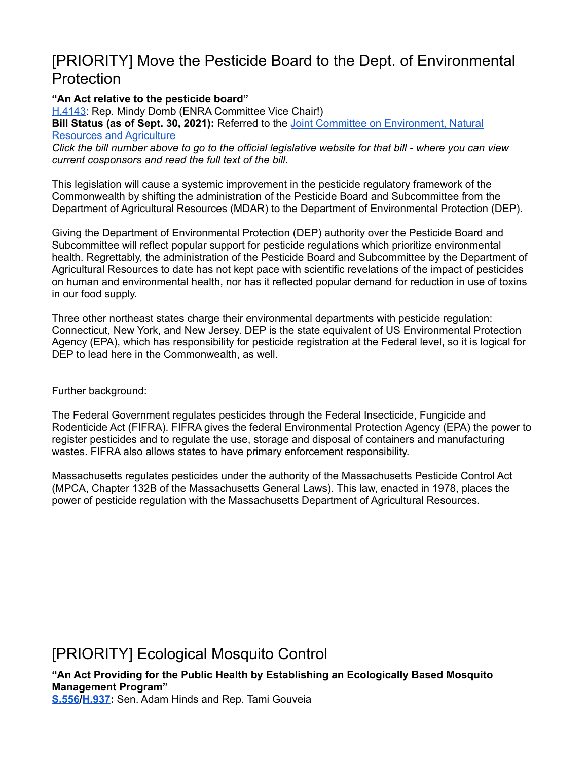## <span id="page-4-0"></span>[PRIORITY] Move the Pesticide Board to the Dept. of Environmental Protection

**"An Act relative to the pesticide board"**

[H.4143](https://malegislature.gov/Bills/192/H4143): Rep. Mindy Domb (ENRA Committee Vice Chair!) **Bill Status (as of Sept. 30, 2021):** Referred to the Joint Committee on [Environment,](https://malegislature.gov/Committees/Detail/J21/192) Natural [Resources](https://malegislature.gov/Committees/Detail/J21/192) and Agriculture Click the bill number above to go to the official legislative website for that bill - where you can view

*current cosponsors and read the full text of the bill.* This legislation will cause a systemic improvement in the pesticide regulatory framework of the

Commonwealth by shifting the administration of the Pesticide Board and Subcommittee from the Department of Agricultural Resources (MDAR) to the Department of Environmental Protection (DEP).

Giving the Department of Environmental Protection (DEP) authority over the Pesticide Board and Subcommittee will reflect popular support for pesticide regulations which prioritize environmental health. Regrettably, the administration of the Pesticide Board and Subcommittee by the Department of Agricultural Resources to date has not kept pace with scientific revelations of the impact of pesticides on human and environmental health, nor has it reflected popular demand for reduction in use of toxins in our food supply.

Three other northeast states charge their environmental departments with pesticide regulation: Connecticut, New York, and New Jersey. DEP is the state equivalent of US Environmental Protection Agency (EPA), which has responsibility for pesticide registration at the Federal level, so it is logical for DEP to lead here in the Commonwealth, as well.

Further background:

The Federal Government regulates pesticides through the Federal Insecticide, Fungicide and Rodenticide Act (FIFRA). FIFRA gives the federal Environmental Protection Agency (EPA) the power to register pesticides and to regulate the use, storage and disposal of containers and manufacturing wastes. FIFRA also allows states to have primary enforcement responsibility.

Massachusetts regulates pesticides under the authority of the Massachusetts Pesticide Control Act (MPCA, Chapter 132B of the Massachusetts General Laws). This law, enacted in 1978, places the power of pesticide regulation with the Massachusetts Department of Agricultural Resources.

## <span id="page-4-1"></span>[PRIORITY] Ecological Mosquito Control

**"An Act Providing for the Public Health by Establishing an Ecologically Based Mosquito Management Program" [S.556/](https://malegislature.gov/Bills/192/SD1202)[H.937](https://malegislature.gov/Bills/192/HD2383):** Sen. Adam Hinds and Rep. Tami Gouveia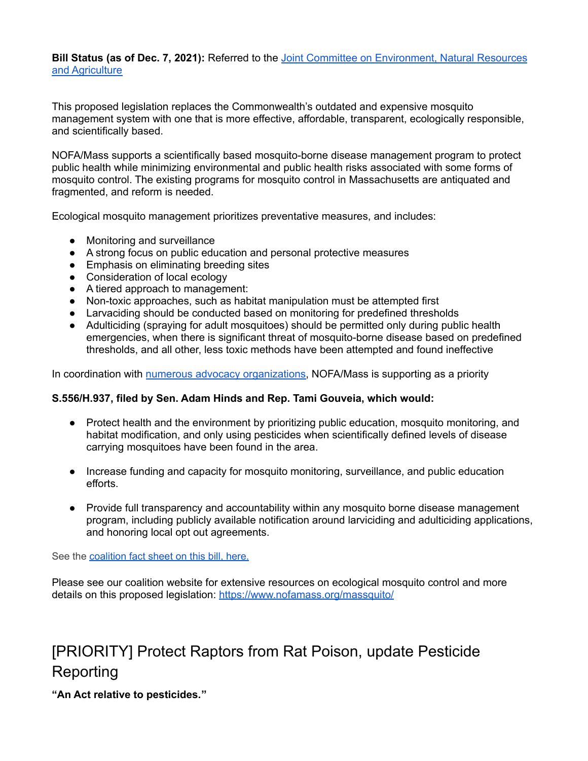**Bill Status (as of Dec. 7, 2021):** Referred to the Joint Committee on [Environment,](https://malegislature.gov/Committees/Detail/J21/192) Natural Resources and [Agriculture](https://malegislature.gov/Committees/Detail/J21/192)

This proposed legislation replaces the Commonwealth's outdated and expensive mosquito management system with one that is more effective, affordable, transparent, ecologically responsible, and scientifically based.

NOFA/Mass supports a scientifically based mosquito-borne disease management program to protect public health while minimizing environmental and public health risks associated with some forms of mosquito control. The existing programs for mosquito control in Massachusetts are antiquated and fragmented, and reform is needed.

Ecological mosquito management prioritizes preventative measures, and includes:

- Monitoring and surveillance
- A strong focus on public education and personal protective measures
- Emphasis on eliminating breeding sites
- Consideration of local ecology
- A tiered approach to management:
- Non-toxic approaches, such as habitat manipulation must be attempted first
- Larvaciding should be conducted based on monitoring for predefined thresholds
- Adulticiding (spraying for adult mosquitoes) should be permitted only during public health emergencies, when there is significant threat of mosquito-borne disease based on predefined thresholds, and all other, less toxic methods have been attempted and found ineffective

In coordination with numerous advocacy [organizations,](https://www.nofamass.org/massquito/) NOFA/Mass is supporting as a priority

#### **S.556/H.937, filed by Sen. Adam Hinds and Rep. Tami Gouveia, which would:**

- Protect health and the environment by prioritizing public education, mosquito monitoring, and habitat modification, and only using pesticides when scientifically defined levels of disease carrying mosquitoes have been found in the area.
- Increase funding and capacity for mosquito monitoring, surveillance, and public education efforts.
- Provide full transparency and accountability within any mosquito borne disease management program, including publicly available notification around larviciding and adulticiding applications, and honoring local opt out agreements.

See the [coalition fact sheet on this bill, here.](https://www.nofamass.org/wp-content/uploads/2021/09/MASSQuito_billfactsheet_091021.pdf)

Please see our coalition website for extensive resources on ecological mosquito control and more details on this proposed legislation: <https://www.nofamass.org/massquito/>

# <span id="page-5-0"></span>[PRIORITY] Protect Raptors from Rat Poison, update Pesticide Reporting

**"An Act relative to [pesticides."](https://malegislature.gov/Bills/192/HD4206)**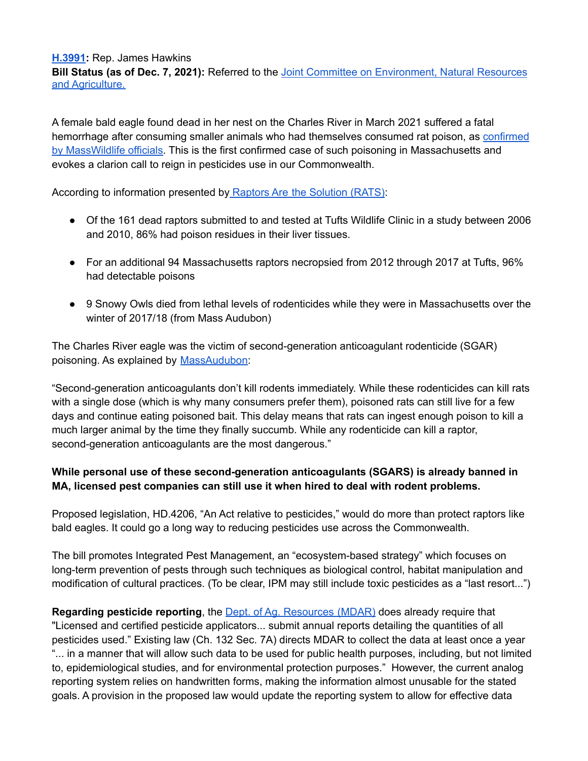**[H.3991](https://malegislature.gov/Bills/192/HD4206):** Rep. James Hawkins **Bill Status (as of Dec. 7, 2021):** Referred to the Joint Committee on [Environment,](https://malegislature.gov/Committees/Detail/J21/192) Natural Resources and [Agriculture.](https://malegislature.gov/Committees/Detail/J21/192)

A female bald eagle found dead in her nest on the Charles River in March 2021 suffered a fatal hemorrhage after consuming smaller animals who had themselves consumed rat poison, as [confirmed](https://www.mass.gov/news/first-bald-eagle-death-in-massachusetts-from-rodenticides-confirmed) by [MassWildlife](https://www.mass.gov/news/first-bald-eagle-death-in-massachusetts-from-rodenticides-confirmed) officials. This is the first confirmed case of such poisoning in Massachusetts and evokes a clarion call to reign in pesticides use in our Commonwealth.

According to information presented by Raptors Are the [Solution](https://www.raptorsarethesolution.org/science-on-ARs/) (RATS):

- Of the 161 dead raptors submitted to and tested at Tufts Wildlife Clinic in a study between 2006 and 2010, 86% had poison residues in their liver tissues.
- For an additional 94 Massachusetts raptors necropsied from 2012 through 2017 at Tufts, 96% had detectable poisons
- 9 Snowy Owls died from lethal levels of rodenticides while they were in Massachusetts over the winter of 2017/18 (from Mass Audubon)

The Charles River eagle was the victim of second-generation anticoagulant rodenticide (SGAR) poisoning. As explained by [MassAudubon](https://blogs.massaudubon.org/distractiondisplays/rat-poison-is-killing-birds-of-prey-and-people-are-finally-paying-attention/):

"Second-generation anticoagulants don't kill rodents immediately. While these rodenticides can kill rats with a single dose (which is why many consumers prefer them), poisoned rats can still live for a few days and continue eating poisoned bait. This delay means that rats can ingest enough poison to kill a much larger animal by the time they finally succumb. While any rodenticide can kill a raptor, second-generation anticoagulants are the most dangerous."

### **While personal use of these second-generation anticoagulants (SGARS) is already banned in MA, licensed pest companies can still use it when hired to deal with rodent problems.**

Proposed legislation, HD.4206, "An Act relative to pesticides," would do more than protect raptors like bald eagles. It could go a long way to reducing pesticides use across the Commonwealth.

The bill promotes Integrated Pest Management, an "ecosystem-based strategy" which focuses on long-term prevention of pests through such techniques as biological control, habitat manipulation and modification of cultural practices. (To be clear, IPM may still include toxic pesticides as a "last resort...")

**Regarding pesticide reporting**, the Dept. of Ag. [Resources](https://www.mass.gov/how-to/pesticide-sales-and-use-reporting) (MDAR) does already require that "Licensed and certified pesticide applicators... submit annual reports detailing the quantities of all pesticides used." Existing law (Ch. 132 Sec. 7A) directs MDAR to collect the data at least once a year "... in a manner that will allow such data to be used for public health purposes, including, but not limited to, epidemiological studies, and for environmental protection purposes." However, the current analog reporting system relies on handwritten forms, making the information almost unusable for the stated goals. A provision in the proposed law would update the reporting system to allow for effective data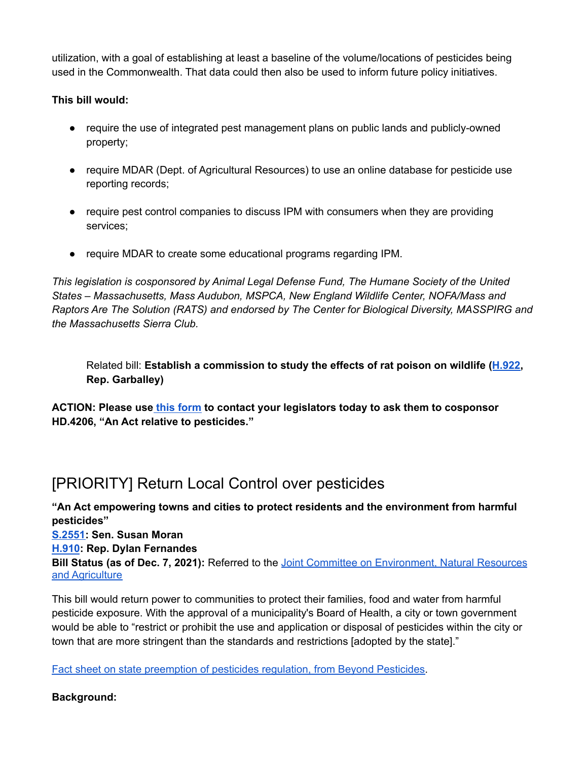utilization, with a goal of establishing at least a baseline of the volume/locations of pesticides being used in the Commonwealth. That data could then also be used to inform future policy initiatives.

### **This bill would:**

- require the use of integrated pest management plans on public lands and publicly-owned property;
- require MDAR (Dept. of Agricultural Resources) to use an online database for pesticide use reporting records;
- require pest control companies to discuss IPM with consumers when they are providing services;
- require MDAR to create some educational programs regarding IPM.

*This legislation is cosponsored by Animal Legal Defense Fund, The Humane Society of the United States – Massachusetts, Mass Audubon, MSPCA, New England Wildlife Center, NOFA/Mass and Raptors Are The Solution (RATS) and endorsed by The Center for Biological Diversity, MASSPIRG and the Massachusetts Sierra Club.*

Related bill: **Establish a commission to study the effects of rat poison on wildlife ([H.922](https://malegislature.gov/Bills/192/H922), Rep. Garballey)**

**ACTION: Please use this [form](https://actionnetwork.org/letters/protect-mass-birds-of-prey-decrease-use-of-rat-poison/) to contact your legislators today to ask them to cosponsor HD.4206, "An Act relative to pesticides."**

# <span id="page-7-0"></span>[PRIORITY] Return Local Control over pesticides

**"An Act empowering towns and cities to protect residents and the environment from harmful pesticides" [S.2551:](https://malegislature.gov/Bills/192/SD2545/BillHistory) Sen. Susan Moran [H.910](https://malegislature.gov/Bills/192/HD3682): Rep. Dylan Fernandes Bill Status (as of Dec. 7, 2021):** Referred to the Joint Committee on [Environment,](https://malegislature.gov/Committees/Detail/J21/192) Natural Resources and [Agriculture](https://malegislature.gov/Committees/Detail/J21/192)

This bill would return power to communities to protect their families, food and water from harmful pesticide exposure. With the approval of a municipality's Board of Health, a city or town government would be able to "restrict or prohibit the use and application or disposal of pesticides within the city or town that are more stringent than the standards and restrictions [adopted by the state]."

Fact sheet on state [preemption](https://www.beyondpesticides.org/assets/media/documents/lawn/activist/documents/StatePreemption.pdf) of pesticides regulation, from Beyond Pesticides.

### **Background:**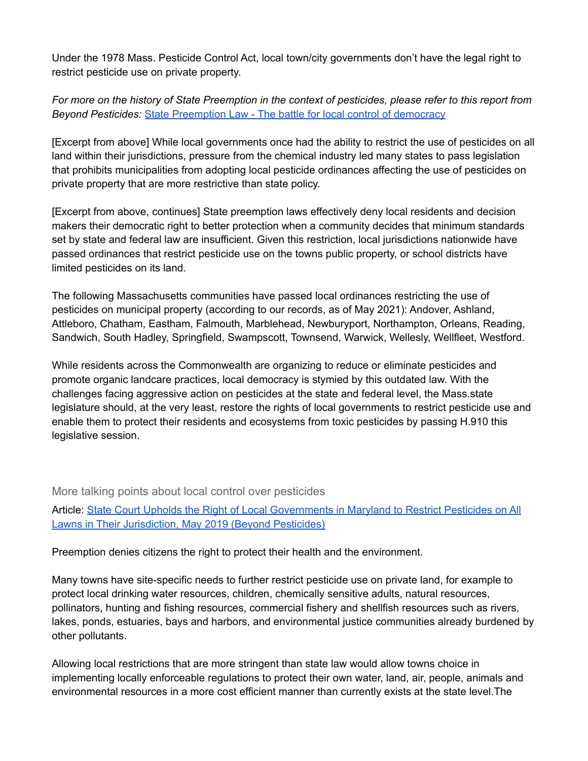Under the 1978 Mass. Pesticide Control Act, local town/city governments don't have the legal right to restrict pesticide use on private property.

For more on the history of State Preemption in the context of pesticides, please refer to this report from *Beyond Pesticides:* State [Preemption](https://www.beyondpesticides.org/assets/media/documents/lawn/activist/documents/StatePreemption.pdf) Law - The battle for local control of democracy

[Excerpt from above] While local governments once had the ability to restrict the use of pesticides on all land within their jurisdictions, pressure from the chemical industry led many states to pass legislation that prohibits municipalities from adopting local pesticide ordinances affecting the use of pesticides on private property that are more restrictive than state policy.

[Excerpt from above, continues] State preemption laws effectively deny local residents and decision makers their democratic right to better protection when a community decides that minimum standards set by state and federal law are insufficient. Given this restriction, local jurisdictions nationwide have passed ordinances that restrict pesticide use on the towns public property, or school districts have limited pesticides on its land.

The following Massachusetts communities have passed local ordinances restricting the use of pesticides on municipal property (according to our records, as of May 2021): Andover, Ashland, Attleboro, Chatham, Eastham, Falmouth, Marblehead, Newburyport, Northampton, Orleans, Reading, Sandwich, South Hadley, Springfield, Swampscott, Townsend, Warwick, Wellesly, Wellfleet, Westford.

While residents across the Commonwealth are organizing to reduce or eliminate pesticides and promote organic landcare practices, local democracy is stymied by this outdated law. With the challenges facing aggressive action on pesticides at the state and federal level, the Mass.state legislature should, at the very least, restore the rights of local governments to restrict pesticide use and enable them to protect their residents and ecosystems from toxic pesticides by passing H.910 this legislative session.

More talking points about local control over pesticides

Article: State Court Upholds the Right of Local [Governments](https://beyondpesticides.org/dailynewsblog/2019/05/state-court-upholds-the-right-of-local-governments-in-maryland-to-restrict-pesticides-on-all-lawns-in-their-jurisdiction/) in Maryland to Restrict Pesticides on All Lawns in Their [Jurisdiction,](https://beyondpesticides.org/dailynewsblog/2019/05/state-court-upholds-the-right-of-local-governments-in-maryland-to-restrict-pesticides-on-all-lawns-in-their-jurisdiction/) May 2019 (Beyond Pesticides)

Preemption denies citizens the right to protect their health and the environment.

Many towns have site-specific needs to further restrict pesticide use on private land, for example to protect local drinking water resources, children, chemically sensitive adults, natural resources, pollinators, hunting and fishing resources, commercial fishery and shellfish resources such as rivers, lakes, ponds, estuaries, bays and harbors, and environmental justice communities already burdened by other pollutants.

Allowing local restrictions that are more stringent than state law would allow towns choice in implementing locally enforceable regulations to protect their own water, land, air, people, animals and environmental resources in a more cost efficient manner than currently exists at the state level.The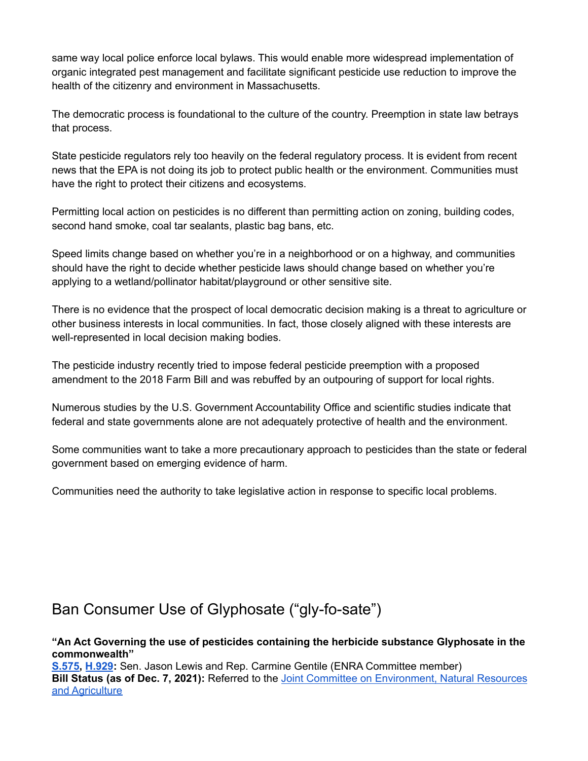same way local police enforce local bylaws. This would enable more widespread implementation of organic integrated pest management and facilitate significant pesticide use reduction to improve the health of the citizenry and environment in Massachusetts.

The democratic process is foundational to the culture of the country. Preemption in state law betrays that process.

State pesticide regulators rely too heavily on the federal regulatory process. It is evident from recent news that the EPA is not doing its job to protect public health or the environment. Communities must have the right to protect their citizens and ecosystems.

Permitting local action on pesticides is no different than permitting action on zoning, building codes, second hand smoke, coal tar sealants, plastic bag bans, etc.

Speed limits change based on whether you're in a neighborhood or on a highway, and communities should have the right to decide whether pesticide laws should change based on whether you're applying to a wetland/pollinator habitat/playground or other sensitive site.

There is no evidence that the prospect of local democratic decision making is a threat to agriculture or other business interests in local communities. In fact, those closely aligned with these interests are well-represented in local decision making bodies.

The pesticide industry recently tried to impose federal pesticide preemption with a proposed amendment to the 2018 Farm Bill and was rebuffed by an outpouring of support for local rights.

Numerous studies by the U.S. Government Accountability Office and scientific studies indicate that federal and state governments alone are not adequately protective of health and the environment.

Some communities want to take a more precautionary approach to pesticides than the state or federal government based on emerging evidence of harm.

Communities need the authority to take legislative action in response to specific local problems.

## <span id="page-9-0"></span>Ban Consumer Use of Glyphosate ("gly-fo-sate")

**"An Act Governing the use of pesticides containing the herbicide substance Glyphosate in the commonwealth"**

**[S.575,](https://malegislature.gov/Bills/192/S575) [H.929](https://malegislature.gov/Bills/192/H929):** Sen. Jason Lewis and Rep. Carmine Gentile (ENRA Committee member) **Bill Status (as of Dec. 7, 2021):** Referred to the Joint Committee on [Environment,](https://malegislature.gov/Committees/Detail/J21/192) Natural Resources and [Agriculture](https://malegislature.gov/Committees/Detail/J21/192)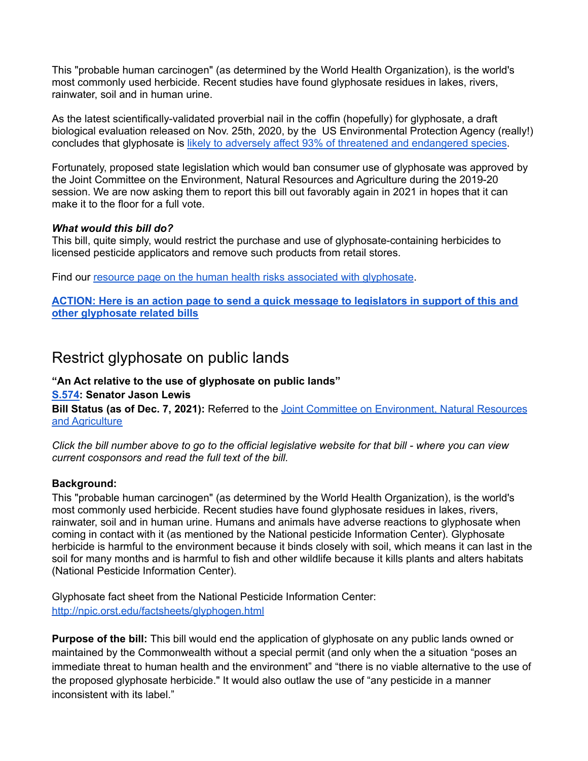This "probable human carcinogen" (as determined by the World Health Organization), is the world's most commonly used herbicide. Recent studies have found glyphosate residues in lakes, rivers, rainwater, soil and in human urine.

As the latest scientifically-validated proverbial nail in the coffin (hopefully) for glyphosate, a draft biological evaluation released on Nov. 25th, 2020, by the US Environmental Protection Agency (really!) concludes that glyphosate is likely to adversely affect 93% of threatened and [endangered](https://cen.acs.org/environment/pesticides/Glyphosate-likely-harms-nearly-endangered/98/web/2020/11?fbclid=IwAR1YUZwULExEfq_25UQDvJxz1CwhgIoUR6Yo2EsHDnS98_wr8ZfzkeSCTIw) species.

Fortunately, proposed state legislation which would ban consumer use of glyphosate was approved by the Joint Committee on the Environment, Natural Resources and Agriculture during the 2019-20 session. We are now asking them to report this bill out favorably again in 2021 in hopes that it can make it to the floor for a full vote.

#### *What would this bill do?*

This bill, quite simply, would restrict the purchase and use of glyphosate-containing herbicides to licensed pesticide applicators and remove such products from retail stores.

Find our resource page on the human health risks associated with [glyphosate](https://nofamass.org/glyphosate).

**ACTION: Here is an action page to send a quick message to [legislators](https://actionnetwork.org/letters/support-mass-action-on-glyphosate) in support of this and other [glyphosate](https://actionnetwork.org/letters/support-mass-action-on-glyphosate) related bills**

### <span id="page-10-0"></span>Restrict glyphosate on public lands

#### **"An Act relative to the use of glyphosate on public lands" [S.574:](https://malegislature.gov/Bills/192/SD455) Senator Jason Lewis**

**Bill Status (as of Dec. 7, 2021):** Referred to the Joint Committee on [Environment,](https://malegislature.gov/Committees/Detail/J21/192) Natural Resources and [Agriculture](https://malegislature.gov/Committees/Detail/J21/192)

Click the bill number above to go to the official legislative website for that bill - where you can view *current cosponsors and read the full text of the bill.*

#### **Background:**

This "probable human carcinogen" (as determined by the World Health Organization), is the world's most commonly used herbicide. Recent studies have found glyphosate residues in lakes, rivers, rainwater, soil and in human urine. Humans and animals have adverse reactions to glyphosate when coming in contact with it (as mentioned by the National pesticide Information Center). Glyphosate herbicide is harmful to the environment because it binds closely with soil, which means it can last in the soil for many months and is harmful to fish and other wildlife because it kills plants and alters habitats (National Pesticide Information Center).

Glyphosate fact sheet from the National Pesticide Information Center: <http://npic.orst.edu/factsheets/glyphogen.html>

**Purpose of the bill:** This bill would end the application of glyphosate on any public lands owned or maintained by the Commonwealth without a special permit (and only when the a situation "poses an immediate threat to human health and the environment" and "there is no viable alternative to the use of the proposed glyphosate herbicide." It would also outlaw the use of "any pesticide in a manner inconsistent with its label."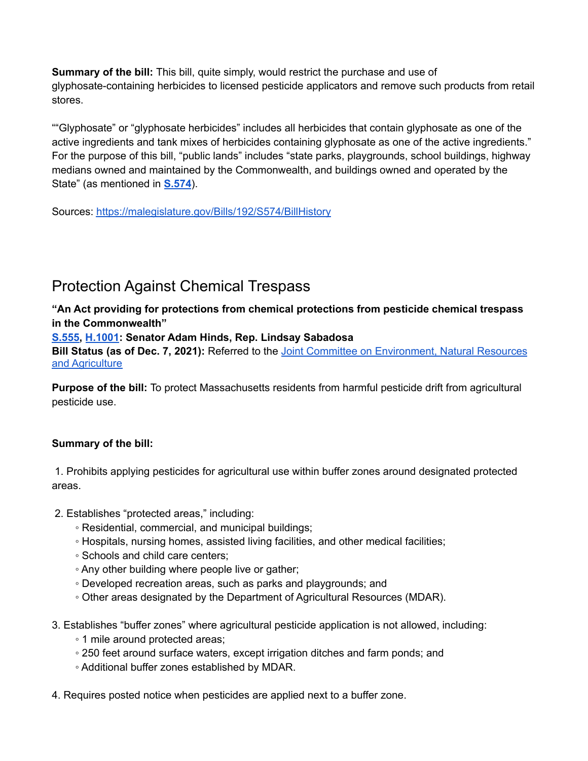**Summary of the bill:** This bill, quite simply, would restrict the purchase and use of glyphosate-containing herbicides to licensed pesticide applicators and remove such products from retail stores.

""Glyphosate" or "glyphosate herbicides" includes all herbicides that contain glyphosate as one of the active ingredients and tank mixes of herbicides containing glyphosate as one of the active ingredients." For the purpose of this bill, "public lands" includes "state parks, playgrounds, school buildings, highway medians owned and maintained by the Commonwealth, and buildings owned and operated by the State" (as mentioned in **[S.574](https://malegislature.gov/Bills/192/SD455)**).

Sources: <https://malegislature.gov/Bills/192/S574/BillHistory>

## <span id="page-11-0"></span>Protection Against Chemical Trespass

**"An Act providing for protections from chemical protections from pesticide chemical trespass in the Commonwealth"**

**[S.555,](https://malegislature.gov/Bills/192/SD1201) [H.1001](https://malegislature.gov/Bills/192/HD1918): Senator Adam Hinds, Rep. Lindsay Sabadosa**

**Bill Status (as of Dec. 7, 2021):** Referred to the Joint Committee on [Environment,](https://malegislature.gov/Committees/Detail/J21/192) Natural Resources and [Agriculture](https://malegislature.gov/Committees/Detail/J21/192)

**Purpose of the bill:** To protect Massachusetts residents from harmful pesticide drift from agricultural pesticide use.

### **Summary of the bill:**

1. Prohibits applying pesticides for agricultural use within buffer zones around designated protected areas.

- 2. Establishes "protected areas," including:
	- Residential, commercial, and municipal buildings;
	- Hospitals, nursing homes, assisted living facilities, and other medical facilities;
	- Schools and child care centers;
	- Any other building where people live or gather;
	- Developed recreation areas, such as parks and playgrounds; and
	- Other areas designated by the Department of Agricultural Resources (MDAR).
- 3. Establishes "buffer zones" where agricultural pesticide application is not allowed, including:
	- 1 mile around protected areas;
	- 250 feet around surface waters, except irrigation ditches and farm ponds; and
	- Additional buffer zones established by MDAR.

4. Requires posted notice when pesticides are applied next to a buffer zone.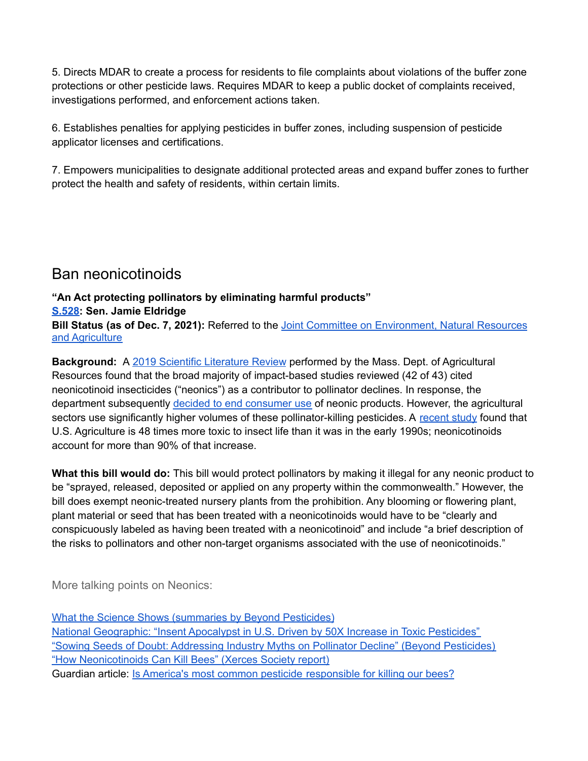5. Directs MDAR to create a process for residents to file complaints about violations of the buffer zone protections or other pesticide laws. Requires MDAR to keep a public docket of complaints received, investigations performed, and enforcement actions taken.

6. Establishes penalties for applying pesticides in buffer zones, including suspension of pesticide applicator licenses and certifications.

7. Empowers municipalities to designate additional protected areas and expand buffer zones to further protect the health and safety of residents, within certain limits.

## <span id="page-12-0"></span>Ban neonicotinoids

### **"An Act protecting pollinators by eliminating harmful products"**

### **[S.528:](https://malegislature.gov/Bills/192/SD207) Sen. Jamie Eldridge**

**Bill Status (as of Dec. 7, 2021):** Referred to the Joint Committee on [Environment,](https://malegislature.gov/Committees/Detail/J21/192) Natural Resources and [Agriculture](https://malegislature.gov/Committees/Detail/J21/192)

**Background:** A 2019 Scientific [Literature](https://www.mass.gov/doc/neonics-scientific-literature-review-december-2019/download) Review performed by the Mass. Dept. of Agricultural Resources found that the broad majority of impact-based studies reviewed (42 of 43) cited neonicotinoid insecticides ("neonics") as a contributor to pollinator declines. In response, the department subsequently decided to end [consumer](https://www.nofamass.org/articles/2021/03/retail-stores-to-stop-selling-neonic-pesticides-in-massachusetts/) use of neonic products. However, the agricultural sectors use significantly higher volumes of these pollinator-killing pesticides. A [recent](https://doi.org/10.1371/journal.pone.0220029) study found that U.S. Agriculture is 48 times more toxic to insect life than it was in the early 1990s; neonicotinoids account for more than 90% of that increase.

**What this bill would do:** This bill would protect pollinators by making it illegal for any neonic product to be "sprayed, released, deposited or applied on any property within the commonwealth." However, the bill does exempt neonic-treated nursery plants from the prohibition. Any blooming or flowering plant, plant material or seed that has been treated with a neonicotinoids would have to be "clearly and conspicuously labeled as having been treated with a neonicotinoid" and include "a brief description of the risks to pollinators and other non-target organisms associated with the use of neonicotinoids."

More talking points on Neonics:

What the Science Shows [\(summaries](https://www.beyondpesticides.org/programs/bee-protective-pollinators-and-pesticides/what-the-science-shows) by Beyond Pesticides) National [Geographic:](https://relay.nationalgeographic.com/proxy/distribution/public/amp/environment/2019/08/insect-apocalypse-under-way-toxic-pesticides-agriculture) "Insent Apocalypst in U.S. Driven by 50X Increase in Toxic Pesticides" "Sowing Seeds of Doubt: [Addressing](https://www.beyondpesticides.org/assets/media/documents/infoservices/pesticidesandyou/documents/SowingSeedsofDoubtcited.pdf) Industry Myths on Pollinator Decline" (Beyond Pesticides) "How [Neonicotinoids](https://xerces.org/blog/new-report-how-neonicotinoids-can-kill-bees) Can Kill Bees" (Xerces Society report) Guardian article: Is America's most common pesticide [responsible](https://www.theguardian.com/sustainable-business/2017/feb/05/bees-dying-pesticide-agriculture) for killing our bees?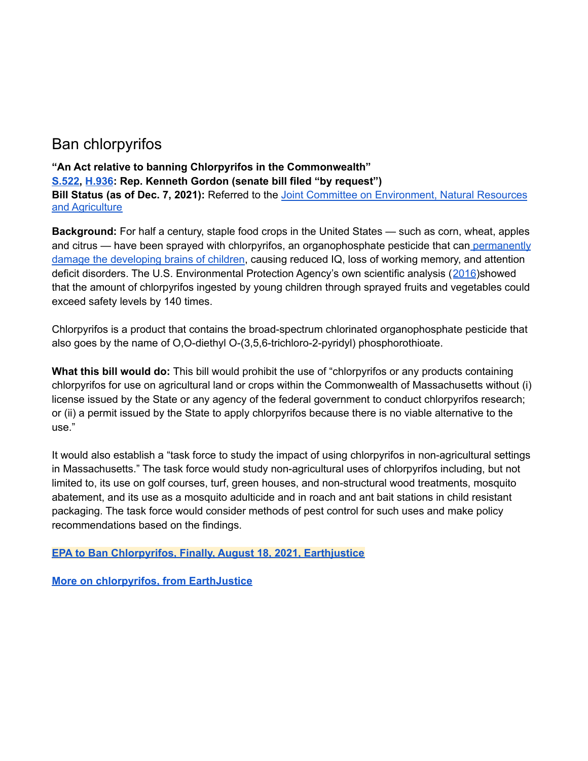## <span id="page-13-0"></span>Ban chlorpyrifos

### **"An Act relative to banning Chlorpyrifos in the Commonwealth" [S.522,](https://malegislature.gov/Bills/192/SD1767) [H.936](https://malegislature.gov/Bills/192/HD1886): Rep. Kenneth Gordon (senate bill filed "by request") Bill Status (as of Dec. 7, 2021):** Referred to the Joint Committee on [Environment,](https://malegislature.gov/Committees/Detail/J21/192) Natural Resources and [Agriculture](https://malegislature.gov/Committees/Detail/J21/192)

**Background:** For half a century, staple food crops in the United States — such as corn, wheat, apples and citrus — have been sprayed with chlorpyrifos, an organophosphate pesticide that can [permanently](https://www.nytimes.com/2017/02/03/opinion/sunday/protect-our-childrens-brains.html?_r=0) damage the [developing](https://www.nytimes.com/2017/02/03/opinion/sunday/protect-our-childrens-brains.html?_r=0) brains of children, causing reduced IQ, loss of working memory, and attention deficit disorders. The U.S. Environmental Protection Agency's own scientific analysis ([2016](https://www.epa.gov/pesticides/updated-human-health-risk-analyses-chlorpyrifos))showed that the amount of chlorpyrifos ingested by young children through sprayed fruits and vegetables could exceed safety levels by 140 times.

Chlorpyrifos is a product that contains the broad-spectrum chlorinated organophosphate pesticide that also goes by the name of O,O-diethyl O-(3,5,6-trichloro-2-pyridyl) phosphorothioate.

**What this bill would do:** This bill would prohibit the use of "chlorpyrifos or any products containing chlorpyrifos for use on agricultural land or crops within the Commonwealth of Massachusetts without (i) license issued by the State or any agency of the federal government to conduct chlorpyrifos research; or (ii) a permit issued by the State to apply chlorpyrifos because there is no viable alternative to the use."

It would also establish a "task force to study the impact of using chlorpyrifos in non-agricultural settings in Massachusetts." The task force would study non-agricultural uses of chlorpyrifos including, but not limited to, its use on golf courses, turf, green houses, and non-structural wood treatments, mosquito abatement, and its use as a mosquito adulticide and in roach and ant bait stations in child resistant packaging. The task force would consider methods of pest control for such uses and make policy recommendations based on the findings.

**EPA to Ban [Chlorpyrifos,](https://earthjustice.org/news/press/2021/epa-to-ban-chlorpyrifos-finally) Finally, August 18, 2021, Earthjustice**

**More on [chlorpyrifos,](https://earthjustice.org/features/what-you-need-to-know-about-chlorpyrifos) from EarthJustice**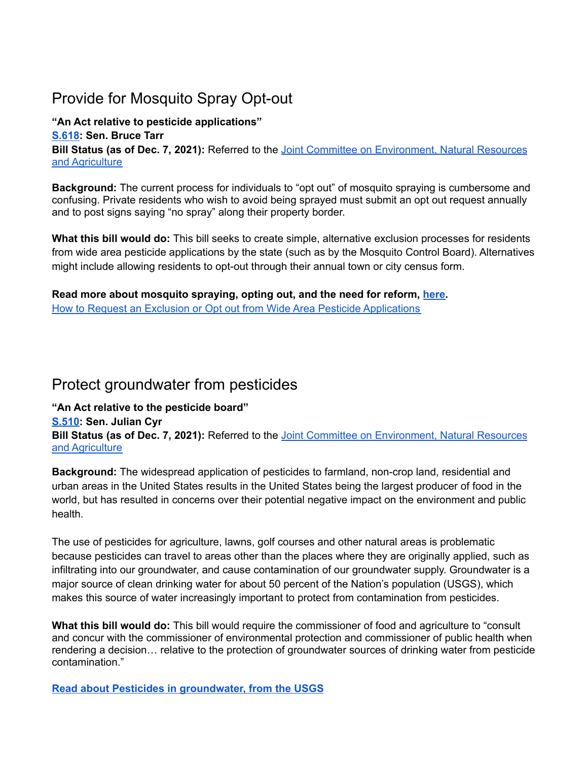# <span id="page-14-0"></span>Provide for Mosquito Spray Opt-out

**"An Act relative to pesticide applications" [S.618:](https://malegislature.gov/Bills/192/SD2156) Sen. Bruce Tarr Bill Status (as of Dec. 7, 2021):** Referred to the Joint Committee on [Environment,](https://malegislature.gov/Committees/Detail/J21/192) Natural Resources and [Agriculture](https://malegislature.gov/Committees/Detail/J21/192)

**Background:** The current process for individuals to "opt out" of mosquito spraying is cumbersome and confusing. Private residents who wish to avoid being sprayed must submit an opt out request annually and to post signs saying "no spray" along their property border.

**What this bill would do:** This bill seeks to create simple, alternative exclusion processes for residents from wide area pesticide applications by the state (such as by the Mosquito Control Board). Alternatives might include allowing residents to opt-out through their annual town or city census form.

**Read more about mosquito spraying, opting out, and the need for reform, [here.](https://www.nofamass.org/massquito)** How to Request an Exclusion or Opt out from Wide Area Pesticide [Applications](https://www.mass.gov/how-to/how-to-request-an-exclusion-or-opt-out-from-wide-area-pesticide-applications)

## <span id="page-14-1"></span>Protect groundwater from pesticides

### **"An Act relative to the pesticide board"**

**[S.510:](https://malegislature.gov/Bills/192/SD1279) Sen. Julian Cyr**

**Bill Status (as of Dec. 7, 2021):** Referred to the Joint Committee on [Environment,](https://malegislature.gov/Committees/Detail/J21/192) Natural Resources and [Agriculture](https://malegislature.gov/Committees/Detail/J21/192)

**Background:** The widespread application of pesticides to farmland, non-crop land, residential and urban areas in the United States results in the United States being the largest producer of food in the world, but has resulted in concerns over their potential negative impact on the environment and public health.

The use of pesticides for agriculture, lawns, golf courses and other natural areas is problematic because pesticides can travel to areas other than the places where they are originally applied, such as infiltrating into our groundwater, and cause contamination of our groundwater supply. Groundwater is a major source of clean drinking water for about 50 percent of the Nation's population (USGS), which makes this source of water increasingly important to protect from contamination from pesticides.

**What this bill would do:** This bill would require the commissioner of food and agriculture to "consult and concur with the commissioner of environmental protection and commissioner of public health when rendering a decision… relative to the protection of groundwater sources of drinking water from pesticide contamination."

**Read about Pesticides in [groundwater,](https://www.usgs.gov/special-topic/water-science-school/science/pesticides-groundwater?qt-science_center_objects=0#qt-science_center_objects) from the USGS**